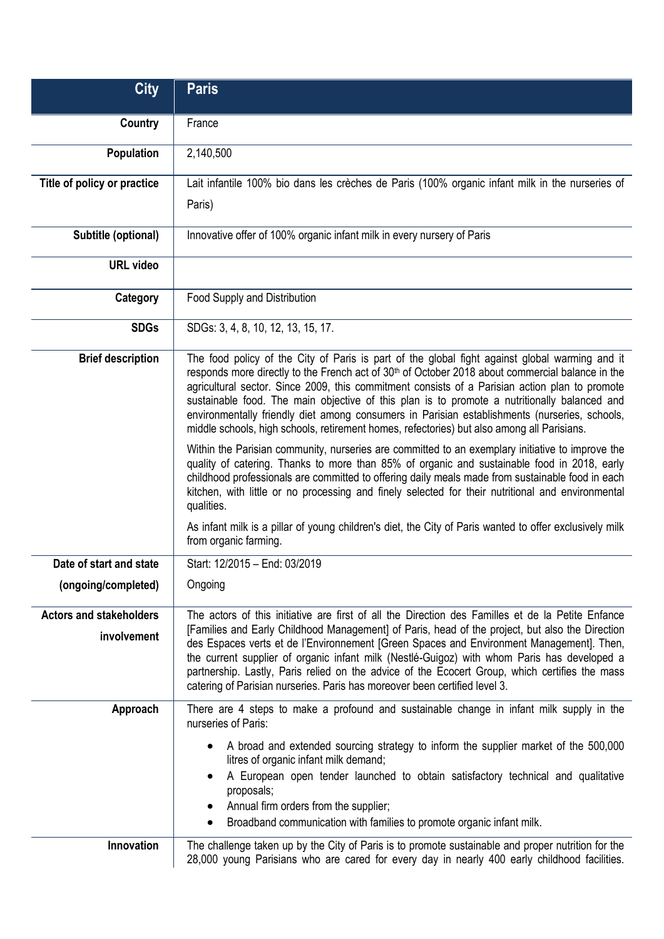| <b>City</b>                                   | <b>Paris</b>                                                                                                                                                                                                                                                                                                                                                                                                                                                                                                                                                                                                    |
|-----------------------------------------------|-----------------------------------------------------------------------------------------------------------------------------------------------------------------------------------------------------------------------------------------------------------------------------------------------------------------------------------------------------------------------------------------------------------------------------------------------------------------------------------------------------------------------------------------------------------------------------------------------------------------|
| Country                                       | France                                                                                                                                                                                                                                                                                                                                                                                                                                                                                                                                                                                                          |
| <b>Population</b>                             | 2,140,500                                                                                                                                                                                                                                                                                                                                                                                                                                                                                                                                                                                                       |
| Title of policy or practice                   | Lait infantile 100% bio dans les crèches de Paris (100% organic infant milk in the nurseries of                                                                                                                                                                                                                                                                                                                                                                                                                                                                                                                 |
|                                               | Paris)                                                                                                                                                                                                                                                                                                                                                                                                                                                                                                                                                                                                          |
| Subtitle (optional)                           | Innovative offer of 100% organic infant milk in every nursery of Paris                                                                                                                                                                                                                                                                                                                                                                                                                                                                                                                                          |
| <b>URL video</b>                              |                                                                                                                                                                                                                                                                                                                                                                                                                                                                                                                                                                                                                 |
| Category                                      | Food Supply and Distribution                                                                                                                                                                                                                                                                                                                                                                                                                                                                                                                                                                                    |
| <b>SDGs</b>                                   | SDGs: 3, 4, 8, 10, 12, 13, 15, 17.                                                                                                                                                                                                                                                                                                                                                                                                                                                                                                                                                                              |
| <b>Brief description</b>                      | The food policy of the City of Paris is part of the global fight against global warming and it<br>responds more directly to the French act of 30 <sup>th</sup> of October 2018 about commercial balance in the<br>agricultural sector. Since 2009, this commitment consists of a Parisian action plan to promote<br>sustainable food. The main objective of this plan is to promote a nutritionally balanced and<br>environmentally friendly diet among consumers in Parisian establishments (nurseries, schools,<br>middle schools, high schools, retirement homes, refectories) but also among all Parisians. |
|                                               | Within the Parisian community, nurseries are committed to an exemplary initiative to improve the<br>quality of catering. Thanks to more than 85% of organic and sustainable food in 2018, early<br>childhood professionals are committed to offering daily meals made from sustainable food in each<br>kitchen, with little or no processing and finely selected for their nutritional and environmental<br>qualities.<br>As infant milk is a pillar of young children's diet, the City of Paris wanted to offer exclusively milk                                                                               |
|                                               | from organic farming.                                                                                                                                                                                                                                                                                                                                                                                                                                                                                                                                                                                           |
| Date of start and state                       | Start: 12/2015 - End: 03/2019                                                                                                                                                                                                                                                                                                                                                                                                                                                                                                                                                                                   |
| (ongoing/completed)                           | Ongoing                                                                                                                                                                                                                                                                                                                                                                                                                                                                                                                                                                                                         |
| <b>Actors and stakeholders</b><br>involvement | The actors of this initiative are first of all the Direction des Familles et de la Petite Enfance<br>[Families and Early Childhood Management] of Paris, head of the project, but also the Direction<br>des Espaces verts et de l'Environnement [Green Spaces and Environment Management]. Then,<br>the current supplier of organic infant milk (Nestlé-Guigoz) with whom Paris has developed a<br>partnership. Lastly, Paris relied on the advice of the Ecocert Group, which certifies the mass<br>catering of Parisian nurseries. Paris has moreover been certified level 3.                                 |
| Approach                                      | There are 4 steps to make a profound and sustainable change in infant milk supply in the<br>nurseries of Paris:                                                                                                                                                                                                                                                                                                                                                                                                                                                                                                 |
|                                               | A broad and extended sourcing strategy to inform the supplier market of the 500,000<br>litres of organic infant milk demand;<br>A European open tender launched to obtain satisfactory technical and qualitative<br>proposals;<br>Annual firm orders from the supplier;<br>Broadband communication with families to promote organic infant milk.<br>٠                                                                                                                                                                                                                                                           |
| Innovation                                    | The challenge taken up by the City of Paris is to promote sustainable and proper nutrition for the<br>28,000 young Parisians who are cared for every day in nearly 400 early childhood facilities.                                                                                                                                                                                                                                                                                                                                                                                                              |